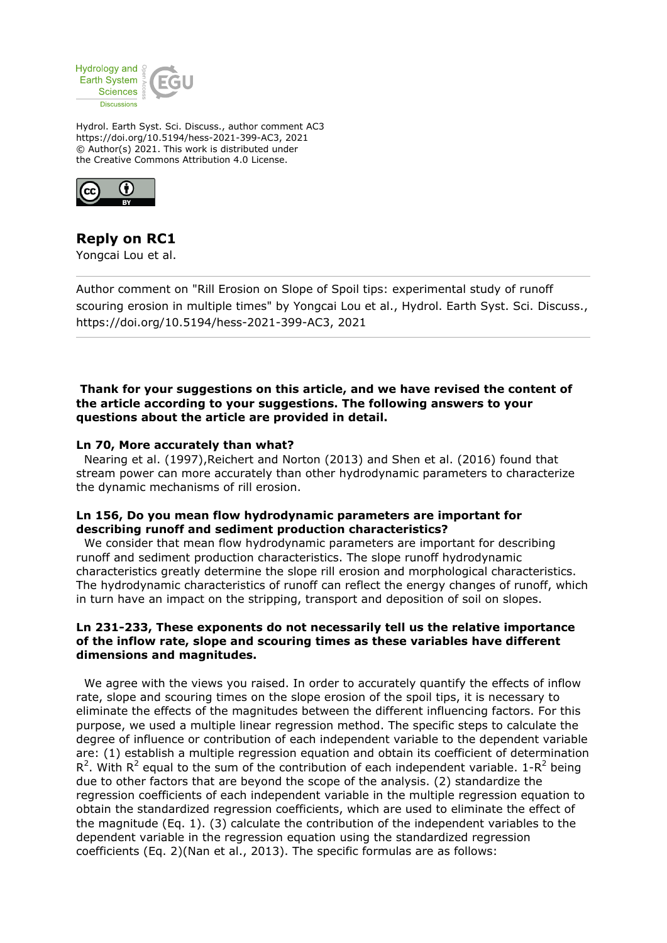

Hydrol. Earth Syst. Sci. Discuss., author comment AC3 https://doi.org/10.5194/hess-2021-399-AC3, 2021 © Author(s) 2021. This work is distributed under the Creative Commons Attribution 4.0 License.



# **Reply on RC1**

Yongcai Lou et al.

Author comment on "Rill Erosion on Slope of Spoil tips: experimental study of runoff scouring erosion in multiple times" by Yongcai Lou et al., Hydrol. Earth Syst. Sci. Discuss., https://doi.org/10.5194/hess-2021-399-AC3, 2021

 **Thank for your suggestions on this article, and we have revised the content of the article according to your suggestions. The following answers to your questions about the article are provided in detail.**

#### **Ln 70, More accurately than what?**

 Nearing et al. (1997),Reichert and Norton (2013) and Shen et al. (2016) found that stream power can more accurately than other hydrodynamic parameters to characterize the dynamic mechanisms of rill erosion.

#### **Ln 156, Do you mean flow hydrodynamic parameters are important for describing runoff and sediment production characteristics?**

 We consider that mean flow hydrodynamic parameters are important for describing runoff and sediment production characteristics. The slope runoff hydrodynamic characteristics greatly determine the slope rill erosion and morphological characteristics. The hydrodynamic characteristics of runoff can reflect the energy changes of runoff, which in turn have an impact on the stripping, transport and deposition of soil on slopes.

#### **Ln 231-233, These exponents do not necessarily tell us the relative importance of the inflow rate, slope and scouring times as these variables have different dimensions and magnitudes.**

 We agree with the views you raised. In order to accurately quantify the effects of inflow rate, slope and scouring times on the slope erosion of the spoil tips, it is necessary to eliminate the effects of the magnitudes between the different influencing factors. For this purpose, we used a multiple linear regression method. The specific steps to calculate the degree of influence or contribution of each independent variable to the dependent variable are: (1) establish a multiple regression equation and obtain its coefficient of determination R<sup>2</sup>. With R<sup>2</sup> equal to the sum of the contribution of each independent variable. 1-R<sup>2</sup> being due to other factors that are beyond the scope of the analysis. (2) standardize the regression coefficients of each independent variable in the multiple regression equation to obtain the standardized regression coefficients, which are used to eliminate the effect of the magnitude (Eq. 1). (3) calculate the contribution of the independent variables to the dependent variable in the regression equation using the standardized regression coefficients (Eq. 2)(Nan et al., 2013). The specific formulas are as follows: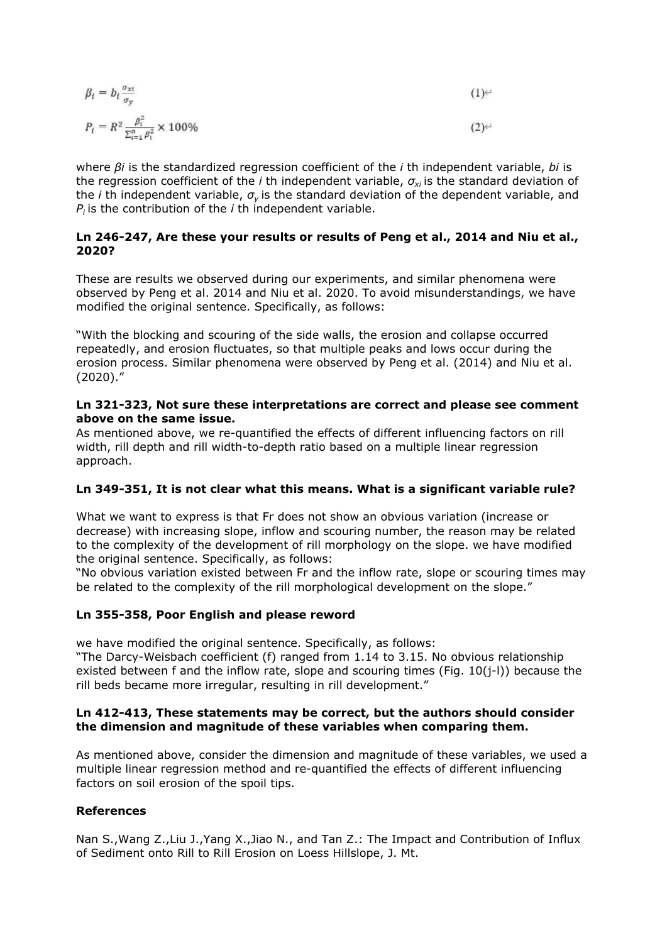$$
\beta_i = b_i \frac{\sigma_{\text{xt}}}{\sigma_v} \tag{1}
$$

$$
P_t = R^2 \frac{\beta_t^2}{\Sigma_{i=1}^n \beta_i^2} \times 100\%
$$
 (2)

where *βi* is the standardized regression coefficient of the *i* th independent variable, *bi* is the regression coefficient of the *i* th independent variable, *σxi* is the standard deviation of the *i* th independent variable, *σy* is the standard deviation of the dependent variable, and  $P_i$  is the contribution of the *i* th independent variable.

#### **Ln 246-247, Are these your results or results of Peng et al., 2014 and Niu et al., 2020?**

These are results we observed during our experiments, and similar phenomena were observed by Peng et al. 2014 and Niu et al. 2020. To avoid misunderstandings, we have modified the original sentence. Specifically, as follows:

"With the blocking and scouring of the side walls, the erosion and collapse occurred repeatedly, and erosion fluctuates, so that multiple peaks and lows occur during the erosion process. Similar phenomena were observed by Peng et al. (2014) and Niu et al. (2020)."

#### **Ln 321-323, Not sure these interpretations are correct and please see comment above on the same issue.**

As mentioned above, we re-quantified the effects of different influencing factors on rill width, rill depth and rill width-to-depth ratio based on a multiple linear regression approach.

# **Ln 349-351, It is not clear what this means. What is a significant variable rule?**

What we want to express is that Fr does not show an obvious variation (increase or decrease) with increasing slope, inflow and scouring number, the reason may be related to the complexity of the development of rill morphology on the slope. we have modified the original sentence. Specifically, as follows:

"No obvious variation existed between Fr and the inflow rate, slope or scouring times may be related to the complexity of the rill morphological development on the slope."

# **Ln 355-358, Poor English and please reword**

we have modified the original sentence. Specifically, as follows:

"The Darcy-Weisbach coefficient (f) ranged from 1.14 to 3.15. No obvious relationship existed between f and the inflow rate, slope and scouring times (Fig. 10(j-l)) because the rill beds became more irregular, resulting in rill development."

# **Ln 412-413, These statements may be correct, but the authors should consider the dimension and magnitude of these variables when comparing them.**

As mentioned above, consider the dimension and magnitude of these variables, we used a multiple linear regression method and re-quantified the effects of different influencing factors on soil erosion of the spoil tips.

# **References**

Nan S.,Wang Z.,Liu J.,Yang X.,Jiao N., and Tan Z.: The Impact and Contribution of Influx of Sediment onto Rill to Rill Erosion on Loess Hillslope, J. Mt.